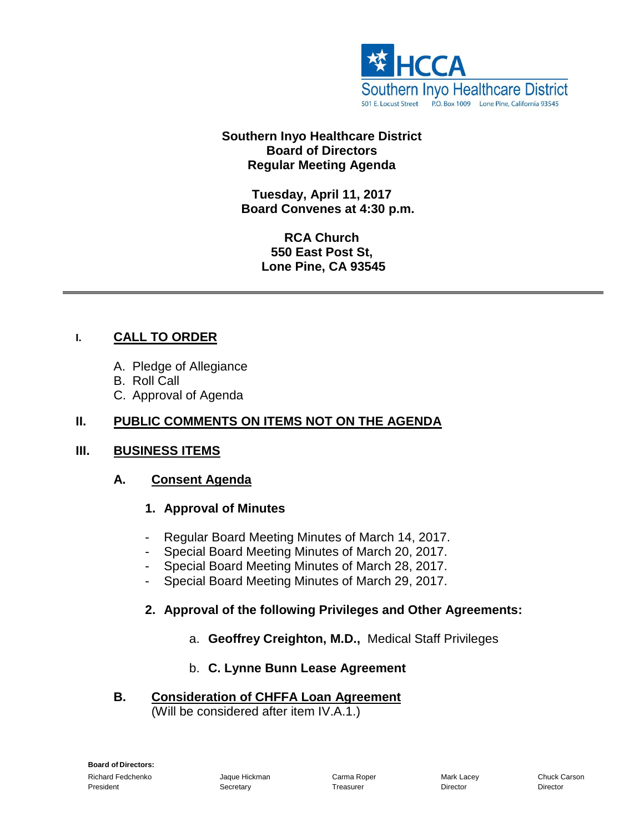

#### **Southern Inyo Healthcare District Board of Directors Regular Meeting Agenda**

**Tuesday, April 11, 2017 Board Convenes at 4:30 p.m.**

> **RCA Church 550 East Post St, Lone Pine, CA 93545**

#### **I. CALL TO ORDER**

- A. Pledge of Allegiance
- B. Roll Call
- C. Approval of Agenda

#### **II. PUBLIC COMMENTS ON ITEMS NOT ON THE AGENDA**

#### **III. BUSINESS ITEMS**

#### **A. Consent Agenda**

#### **1. Approval of Minutes**

- Regular Board Meeting Minutes of March 14, 2017.
- Special Board Meeting Minutes of March 20, 2017.
- Special Board Meeting Minutes of March 28, 2017.
- Special Board Meeting Minutes of March 29, 2017.

#### **2. Approval of the following Privileges and Other Agreements:**

a. **Geoffrey Creighton, M.D.,** Medical Staff Privileges

#### b. **C. Lynne Bunn Lease Agreement**

**B. Consideration of CHFFA Loan Agreement** (Will be considered after item IV.A.1.)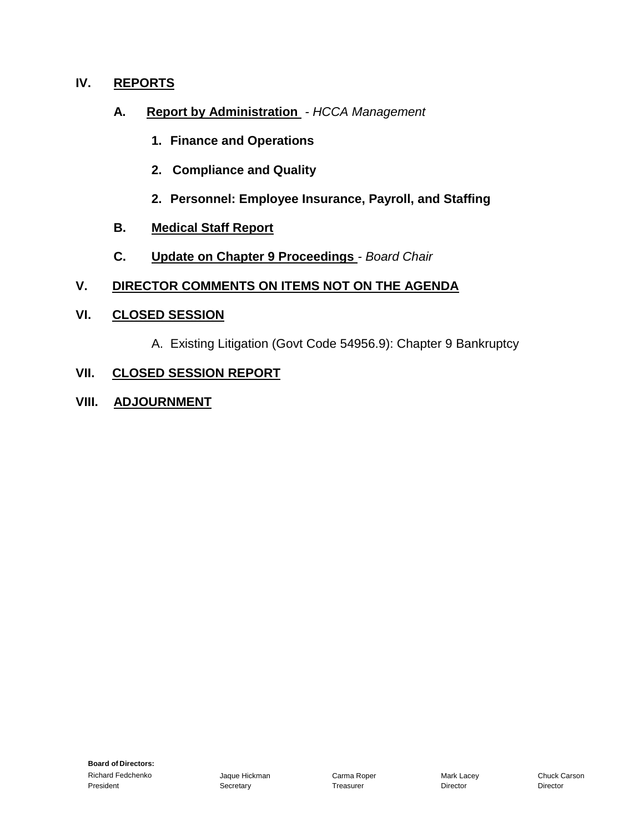#### **IV. REPORTS**

- **A. Report by Administration** *- HCCA Management*
	- **1. Finance and Operations**
	- **2. Compliance and Quality**
	- **2. Personnel: Employee Insurance, Payroll, and Staffing**
- **B. Medical Staff Report**
- **C. Update on Chapter 9 Proceedings** *- Board Chair*

#### **V. DIRECTOR COMMENTS ON ITEMS NOT ON THE AGENDA**

#### **VI. CLOSED SESSION**

A. Existing Litigation (Govt Code 54956.9): Chapter 9 Bankruptcy

#### **VII. CLOSED SESSION REPORT**

**VIII. ADJOURNMENT**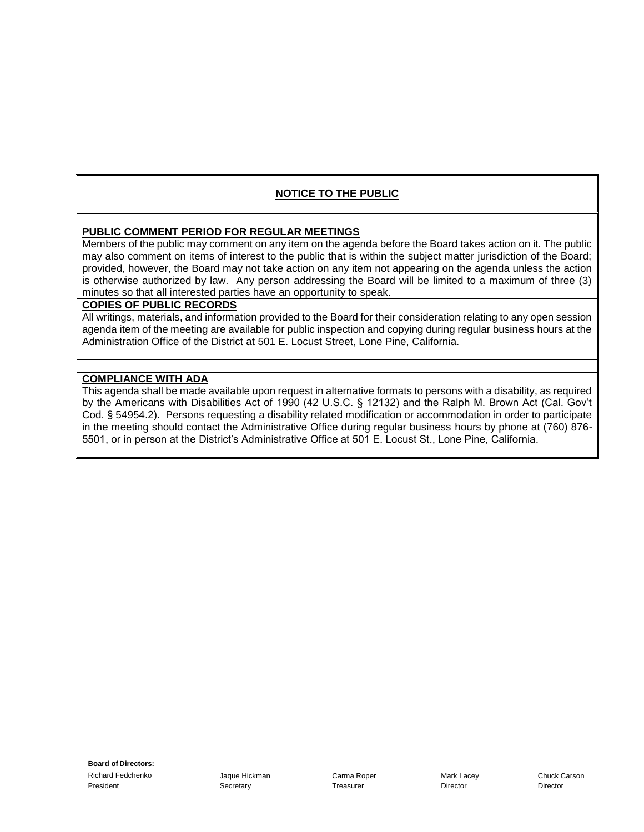#### **NOTICE TO THE PUBLIC**

#### **PUBLIC COMMENT PERIOD FOR REGULAR MEETINGS**

Members of the public may comment on any item on the agenda before the Board takes action on it. The public may also comment on items of interest to the public that is within the subject matter jurisdiction of the Board; provided, however, the Board may not take action on any item not appearing on the agenda unless the action is otherwise authorized by law. Any person addressing the Board will be limited to a maximum of three (3) minutes so that all interested parties have an opportunity to speak.

#### **COPIES OF PUBLIC RECORDS**

All writings, materials, and information provided to the Board for their consideration relating to any open session agenda item of the meeting are available for public inspection and copying during regular business hours at the Administration Office of the District at 501 E. Locust Street, Lone Pine, California.

#### **COMPLIANCE WITH ADA**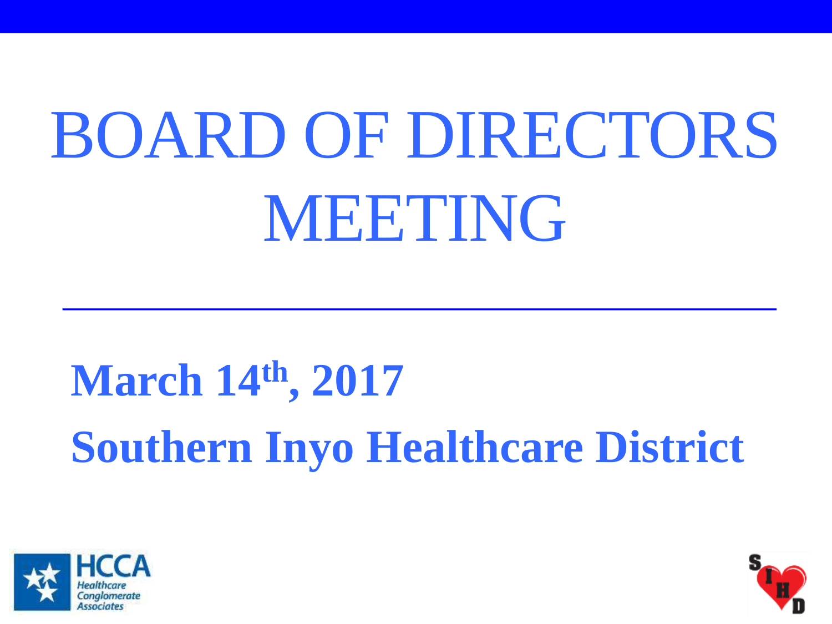# BOARD OF DIRECTORS MEETING

## **March 14th, 2017 Southern Inyo Healthcare District**



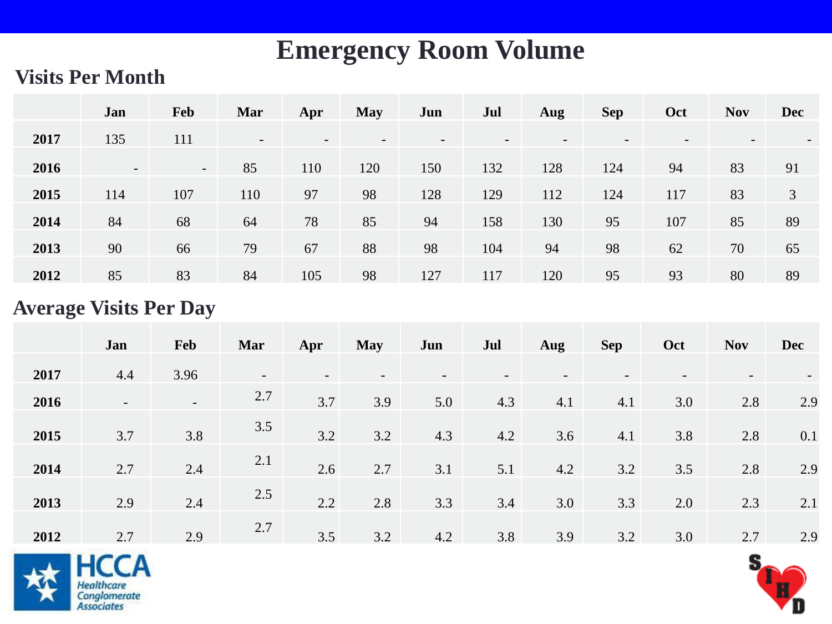### **Emergency Room Volume**

#### **Visits Per Month**

|      | Jan                      | Feb    | Mar                      | Apr                      | <b>May</b>               | Jun | Jul | Aug                      | <b>Sep</b>               | Oct | <b>Nov</b>               | <b>Dec</b>               |
|------|--------------------------|--------|--------------------------|--------------------------|--------------------------|-----|-----|--------------------------|--------------------------|-----|--------------------------|--------------------------|
| 2017 | 135                      | 111    | $\overline{\phantom{a}}$ | $\overline{\phantom{a}}$ | $\overline{\phantom{a}}$ |     |     | $\overline{\phantom{0}}$ | $\overline{\phantom{0}}$ |     | $\overline{\phantom{0}}$ | $\overline{\phantom{0}}$ |
| 2016 | $\overline{\phantom{0}}$ | $\sim$ | 85                       | 110                      | 120                      | 150 | 132 | 128                      | 124                      | 94  | 83                       | 91                       |
| 2015 | 114                      | 107    | 110                      | 97                       | 98                       | 128 | 129 | 112                      | 124                      | 117 | 83                       | 3                        |
| 2014 | 84                       | 68     | 64                       | 78                       | 85                       | 94  | 158 | 130                      | 95                       | 107 | 85                       | 89                       |
| 2013 | 90                       | 66     | 79                       | 67                       | 88                       | 98  | 104 | 94                       | 98                       | 62  | 70                       | 65                       |
| 2012 | 85                       | 83     | 84                       | 105                      | 98                       | 127 | 117 | 120                      | 95                       | 93  | 80                       | 89                       |

#### **Average Visits Per Day**

|      | Jan                      | <b>Feb</b>               | Mar                      | Apr                      | <b>May</b> | Jun | Jul | Aug | <b>Sep</b> | Oct | <b>Nov</b>               | <b>Dec</b> |
|------|--------------------------|--------------------------|--------------------------|--------------------------|------------|-----|-----|-----|------------|-----|--------------------------|------------|
| 2017 | 4.4                      | 3.96                     | $\overline{\phantom{a}}$ | $\overline{\phantom{0}}$ |            |     |     |     |            |     | $\overline{\phantom{a}}$ |            |
| 2016 | $\overline{\phantom{0}}$ | $\overline{\phantom{a}}$ | 2.7                      | 3.7                      | 3.9        | 5.0 | 4.3 | 4.1 | 4.1        | 3.0 | 2.8                      | 2.9        |
| 2015 | 3.7                      | 3.8                      | 3.5                      | 3.2                      | 3.2        | 4.3 | 4.2 | 3.6 | 4.1        | 3.8 | 2.8                      | 0.1        |
| 2014 | 2.7                      | 2.4                      | 2.1                      | 2.6                      | 2.7        | 3.1 | 5.1 | 4.2 | 3.2        | 3.5 | 2.8                      | 2.9        |
|      |                          |                          | 2.5                      |                          |            |     |     |     |            |     |                          |            |
| 2013 | 2.9                      | 2.4                      |                          | 2.2                      | 2.8        | 3.3 | 3.4 | 3.0 | 3.3        | 2.0 | 2.3                      | 2.1        |
| 2012 | 2.7                      | 2.9                      | 2.7                      | 3.5                      | 3.2        | 4.2 | 3.8 | 3.9 | 3.2        | 3.0 | 2.7                      | 2.9        |



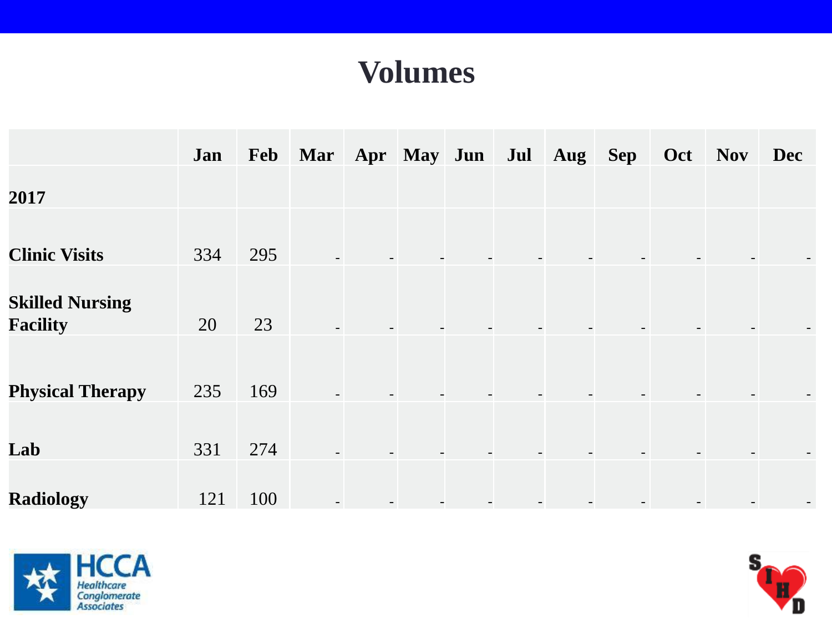### **Volumes**

|                                           | Jan |     | Feb Mar Apr May Jun |  |  | Jul Aug Sep | Oct | <b>Nov</b> | <b>Dec</b> |
|-------------------------------------------|-----|-----|---------------------|--|--|-------------|-----|------------|------------|
| 2017                                      |     |     |                     |  |  |             |     |            |            |
| <b>Clinic Visits</b>                      | 334 | 295 |                     |  |  |             |     |            |            |
| <b>Skilled Nursing</b><br><b>Facility</b> | 20  | 23  |                     |  |  |             |     |            |            |
| <b>Physical Therapy</b>                   | 235 | 169 |                     |  |  |             |     |            |            |
| Lab                                       | 331 | 274 |                     |  |  |             |     |            |            |
| <b>Radiology</b>                          | 121 | 100 |                     |  |  |             |     |            |            |



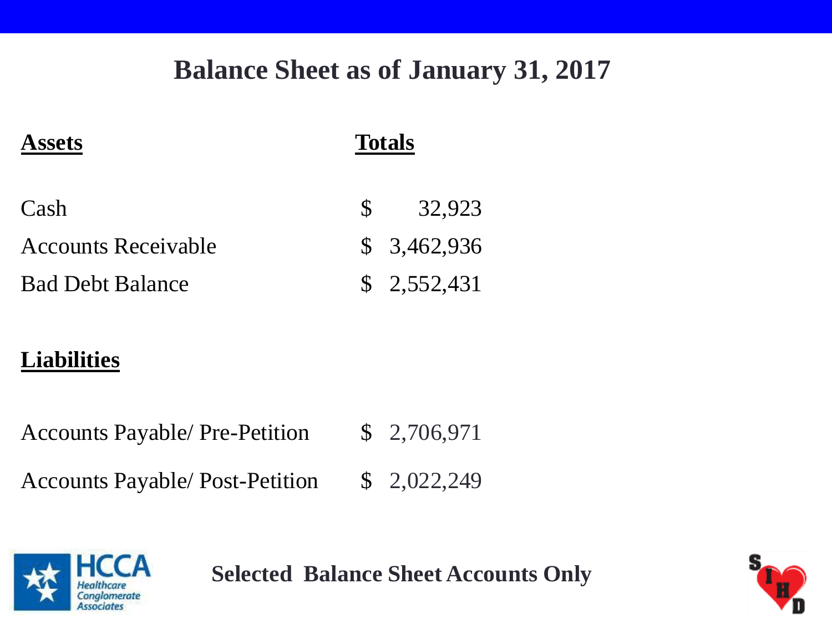### **Balance Sheet as of January 31, 2017**

| <b>Assets</b>              | <b>Totals</b> |             |  |  |  |
|----------------------------|---------------|-------------|--|--|--|
| Cash                       | S             | 32,923      |  |  |  |
| <b>Accounts Receivable</b> |               | \$3,462,936 |  |  |  |
| <b>Bad Debt Balance</b>    |               | \$2,552,431 |  |  |  |

### **Liabilities**

Accounts Payable/ Pre-Petition \$ 2,706,971

Accounts Payable/ Post-Petition \$ 2,022,249



**Selected Balance Sheet Accounts Only**

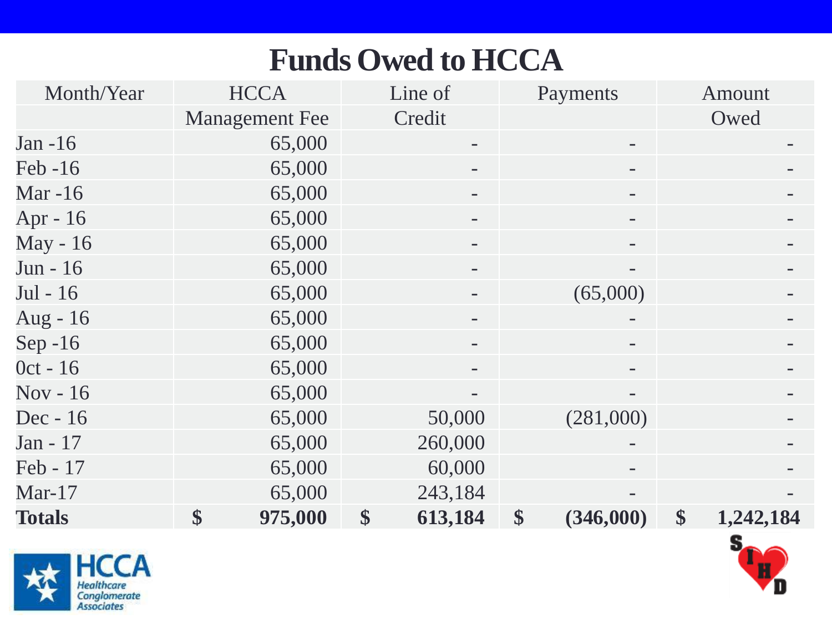### **Funds Owed to HCCA**

| Month/Year     | <b>HCCA</b>           | Line of                  | Payments        | Amount          |
|----------------|-----------------------|--------------------------|-----------------|-----------------|
|                | <b>Management</b> Fee | Credit                   |                 | Owed            |
| Jan -16        | 65,000                | -                        |                 |                 |
| Feb -16        | 65,000                |                          |                 |                 |
| <b>Mar</b> -16 | 65,000                |                          |                 |                 |
| Apr - 16       | 65,000                |                          |                 |                 |
| May - 16       | 65,000                |                          |                 |                 |
| Jun - 16       | 65,000                |                          |                 |                 |
| Jul - 16       | 65,000                |                          | (65,000)        |                 |
| Aug - $16$     | 65,000                |                          |                 |                 |
| Sep $-16$      | 65,000                |                          |                 |                 |
| $0ct - 16$     | 65,000                | -                        | -               |                 |
| Nov - 16       | 65,000                | $\overline{\phantom{0}}$ |                 |                 |
| Dec - 16       | 65,000                | 50,000                   | (281,000)       |                 |
| Jan - 17       | 65,000                | 260,000                  |                 |                 |
| Feb - 17       | 65,000                | 60,000                   |                 |                 |
| $Mar-17$       | 65,000                | 243,184                  |                 |                 |
| <b>Totals</b>  | \$<br>975,000         | \$<br>613,184            | \$<br>(346,000) | \$<br>1,242,184 |



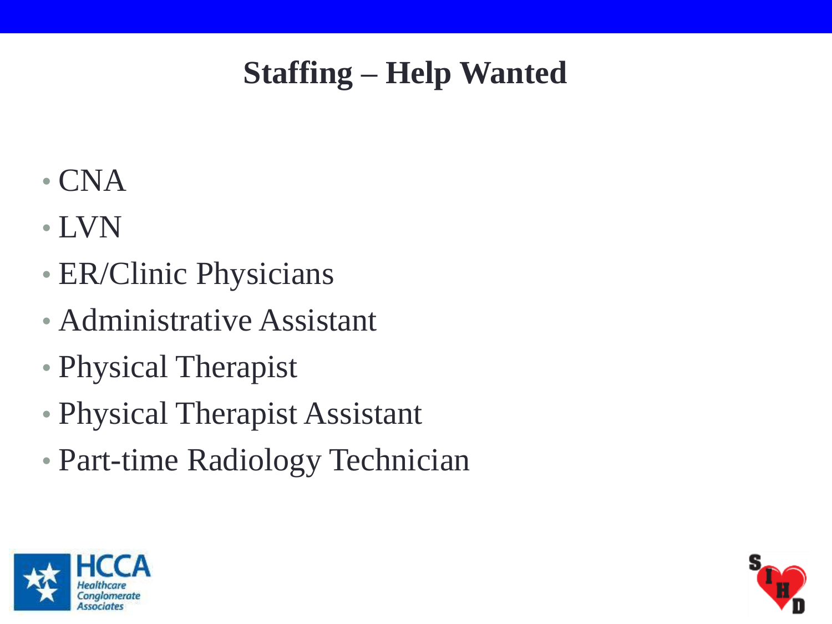### **Staffing – Help Wanted**

- CNA
- LVN
- ER/Clinic Physicians
- Administrative Assistant
- Physical Therapist
- Physical Therapist Assistant
- Part-time Radiology Technician



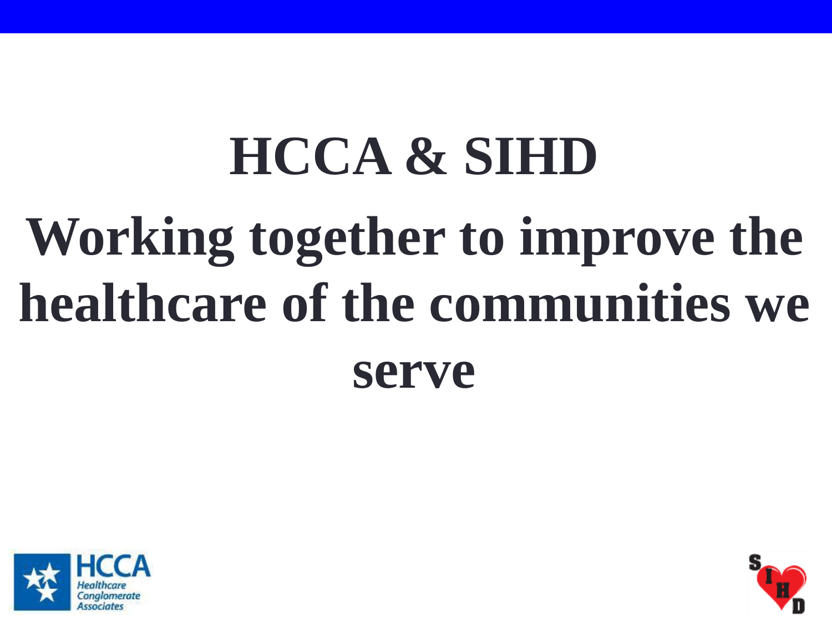## **HCCA & SIHD Working together to improve the healthcare of the communities we serve**



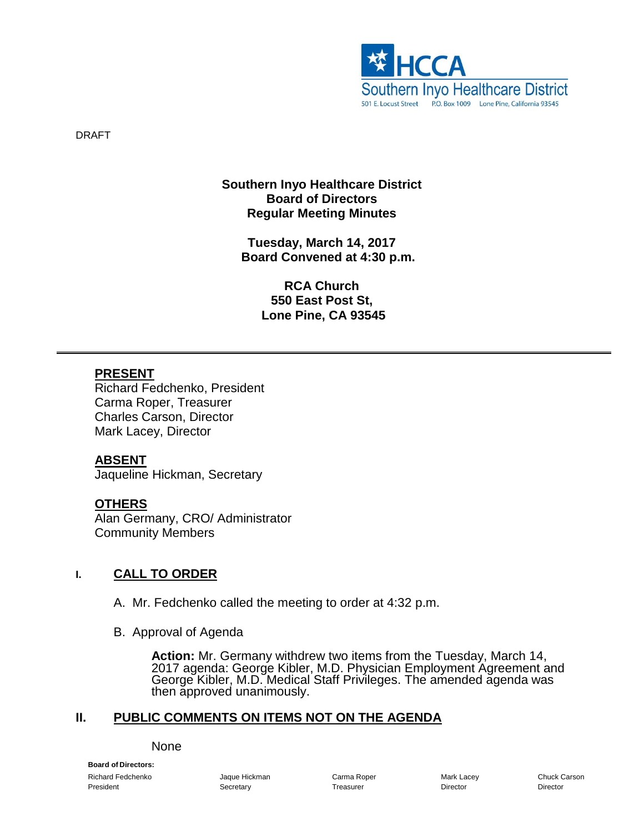

DRAFT

#### **Southern Inyo Healthcare District Board of Directors Regular Meeting Minutes**

**Tuesday, March 14, 2017 Board Convened at 4:30 p.m.**

> **RCA Church 550 East Post St, Lone Pine, CA 93545**

#### **PRESENT**

Richard Fedchenko, President Carma Roper, Treasurer Charles Carson, Director Mark Lacey, Director

#### **ABSENT**

Jaqueline Hickman, Secretary

#### **OTHERS**

Alan Germany, CRO/ Administrator Community Members

#### **I. CALL TO ORDER**

- A. Mr. Fedchenko called the meeting to order at 4:32 p.m.
- B. Approval of Agenda

**Action:** Mr. Germany withdrew two items from the Tuesday, March 14, 2017 agenda: George Kibler, M.D. Physician Employment Agreement and George Kibler, M.D. Medical Staff Privileges. The amended agenda was then approved unanimously.

#### **II. PUBLIC COMMENTS ON ITEMS NOT ON THE AGENDA**

#### None

**Board of Directors:** Richard Fedchenko Jaque Hickman Carma Roper Mark Lacey Chuck Carson President **Secretary Community Community Secretary** Treasurer **Community Director** Director Director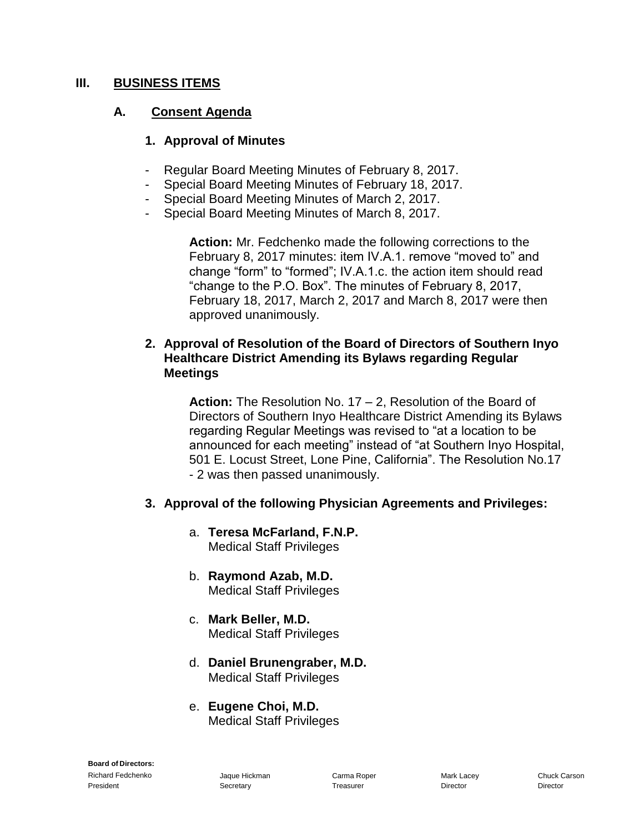#### **III. BUSINESS ITEMS**

#### **A. Consent Agenda**

#### **1. Approval of Minutes**

- Regular Board Meeting Minutes of February 8, 2017.
- Special Board Meeting Minutes of February 18, 2017.
- Special Board Meeting Minutes of March 2, 2017.
- Special Board Meeting Minutes of March 8, 2017.

**Action:** Mr. Fedchenko made the following corrections to the February 8, 2017 minutes: item IV.A.1. remove "moved to" and change "form" to "formed"; IV.A.1.c. the action item should read "change to the P.O. Box". The minutes of February 8, 2017, February 18, 2017, March 2, 2017 and March 8, 2017 were then approved unanimously.

#### **2. Approval of Resolution of the Board of Directors of Southern Inyo Healthcare District Amending its Bylaws regarding Regular Meetings**

**Action:** The Resolution No. 17 – 2, Resolution of the Board of Directors of Southern Inyo Healthcare District Amending its Bylaws regarding Regular Meetings was revised to "at a location to be announced for each meeting" instead of "at Southern Inyo Hospital, 501 E. Locust Street, Lone Pine, California". The Resolution No.17 - 2 was then passed unanimously.

#### **3. Approval of the following Physician Agreements and Privileges:**

- a. **Teresa McFarland, F.N.P.** Medical Staff Privileges
- b. **Raymond Azab, M.D.** Medical Staff Privileges
- c. **Mark Beller, M.D.** Medical Staff Privileges
- d. **Daniel Brunengraber, M.D.** Medical Staff Privileges
- e. **Eugene Choi, M.D.** Medical Staff Privileges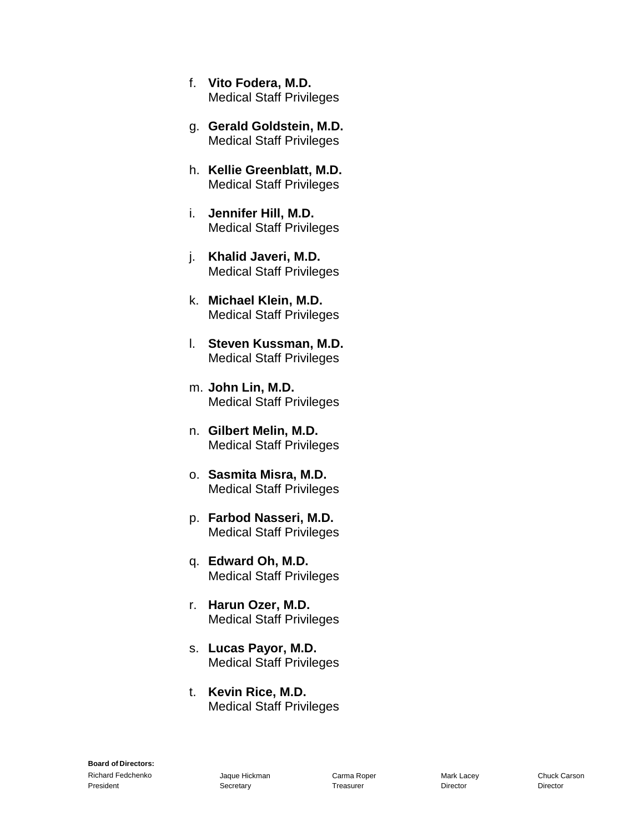- f. **Vito Fodera, M.D.**  Medical Staff Privileges
- g. **Gerald Goldstein, M.D.**  Medical Staff Privileges
- h. **Kellie Greenblatt, M.D.**  Medical Staff Privileges
- i. **Jennifer Hill, M.D.** Medical Staff Privileges
- j. **Khalid Javeri, M.D.** Medical Staff Privileges
- k. **Michael Klein, M.D.**  Medical Staff Privileges
- l. **Steven Kussman, M.D.**  Medical Staff Privileges
- m. **John Lin, M.D.**  Medical Staff Privileges
- n. **Gilbert Melin, M.D.**  Medical Staff Privileges
- o. **Sasmita Misra, M.D.**  Medical Staff Privileges
- p. **Farbod Nasseri, M.D.**  Medical Staff Privileges
- q. **Edward Oh, M.D.**  Medical Staff Privileges
- r. **Harun Ozer, M.D.**  Medical Staff Privileges
- s. **Lucas Payor, M.D.**  Medical Staff Privileges
- t. **Kevin Rice, M.D.**  Medical Staff Privileges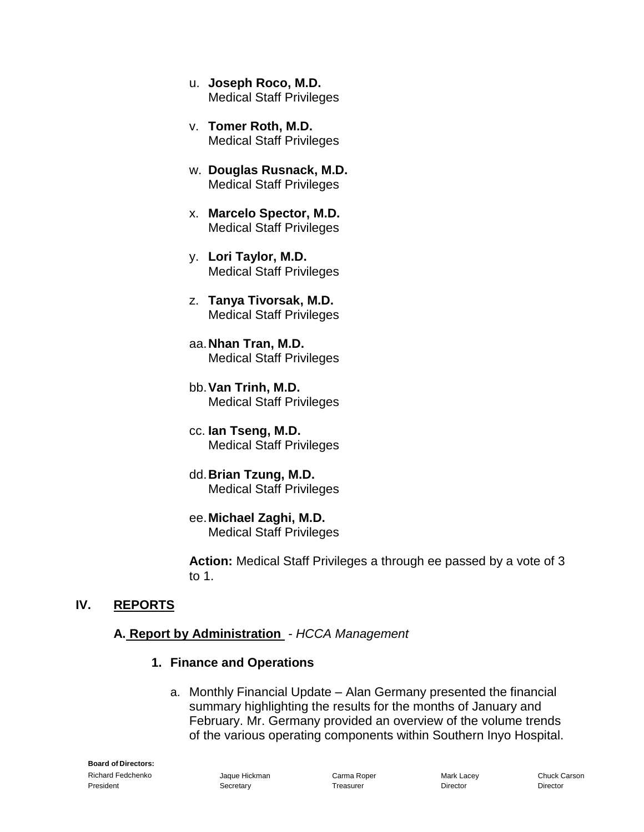- u. **Joseph Roco, M.D.**  Medical Staff Privileges
- v. **Tomer Roth, M.D.**  Medical Staff Privileges
- w. **Douglas Rusnack, M.D.**  Medical Staff Privileges
- x. **Marcelo Spector, M.D.**  Medical Staff Privileges
- y. **Lori Taylor, M.D.**  Medical Staff Privileges
- z. **Tanya Tivorsak, M.D.**  Medical Staff Privileges
- aa.**Nhan Tran, M.D.**  Medical Staff Privileges
- bb.**Van Trinh, M.D.**  Medical Staff Privileges
- cc. **Ian Tseng, M.D.**  Medical Staff Privileges
- dd.**Brian Tzung, M.D.**  Medical Staff Privileges
- ee.**Michael Zaghi, M.D.**  Medical Staff Privileges

**Action:** Medical Staff Privileges a through ee passed by a vote of 3 to 1.

#### **IV. REPORTS**

#### **A. Report by Administration** *- HCCA Management*

#### **1. Finance and Operations**

a. Monthly Financial Update – Alan Germany presented the financial summary highlighting the results for the months of January and February. Mr. Germany provided an overview of the volume trends of the various operating components within Southern Inyo Hospital.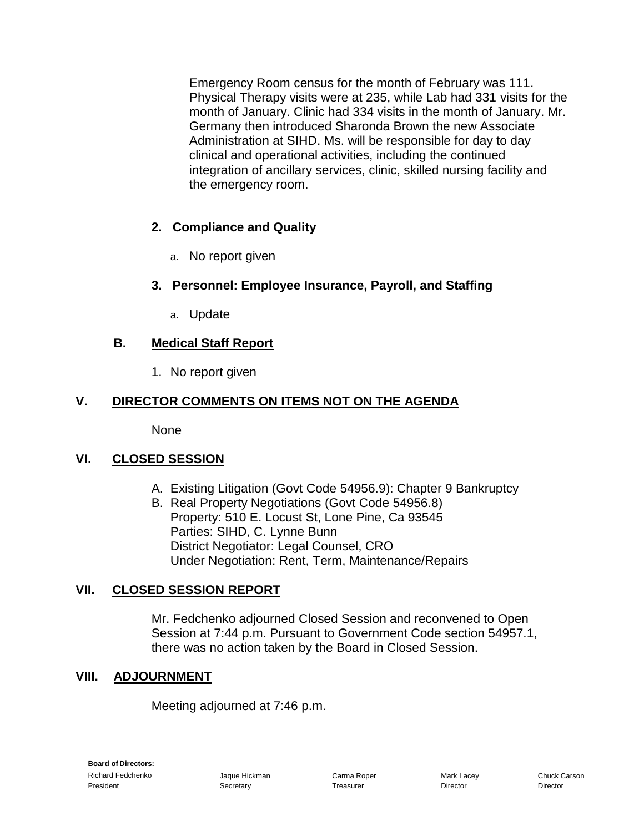Emergency Room census for the month of February was 111. Physical Therapy visits were at 235, while Lab had 331 visits for the month of January. Clinic had 334 visits in the month of January. Mr. Germany then introduced Sharonda Brown the new Associate Administration at SIHD. Ms. will be responsible for day to day clinical and operational activities, including the continued integration of ancillary services, clinic, skilled nursing facility and the emergency room.

#### **2. Compliance and Quality**

a. No report given

#### **3. Personnel: Employee Insurance, Payroll, and Staffing**

a. Update

#### **B. Medical Staff Report**

1. No report given

#### **V. DIRECTOR COMMENTS ON ITEMS NOT ON THE AGENDA**

None

#### **VI. CLOSED SESSION**

- A. Existing Litigation (Govt Code 54956.9): Chapter 9 Bankruptcy
- B. Real Property Negotiations (Govt Code 54956.8) Property: 510 E. Locust St, Lone Pine, Ca 93545 Parties: SIHD, C. Lynne Bunn District Negotiator: Legal Counsel, CRO Under Negotiation: Rent, Term, Maintenance/Repairs

#### **VII. CLOSED SESSION REPORT**

Mr. Fedchenko adjourned Closed Session and reconvened to Open Session at 7:44 p.m. Pursuant to Government Code section 54957.1, there was no action taken by the Board in Closed Session.

#### **VIII. ADJOURNMENT**

Meeting adjourned at 7:46 p.m.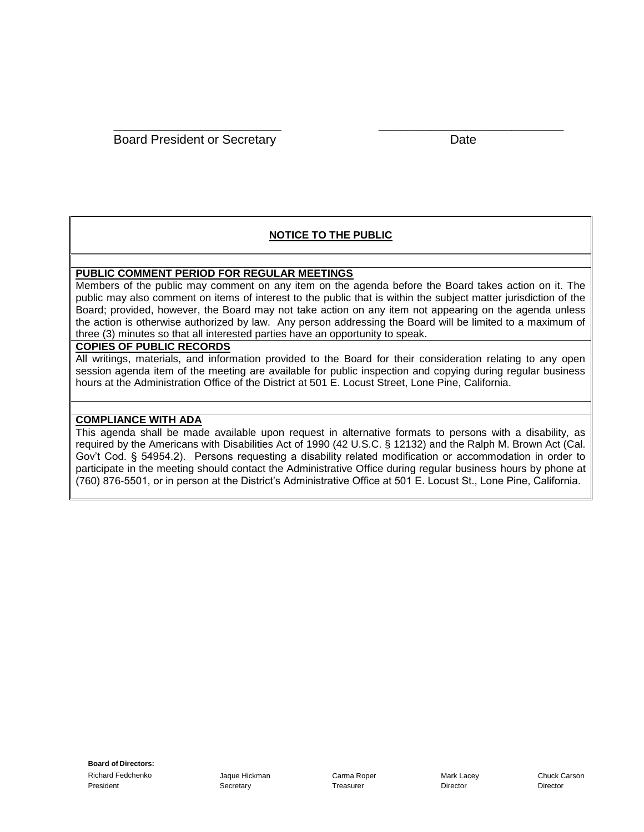#### **NOTICE TO THE PUBLIC**

\_\_\_\_\_\_\_\_\_\_\_\_\_\_\_\_\_\_\_\_\_\_\_\_\_\_\_\_\_ \_\_\_\_\_\_\_\_\_\_\_\_\_\_\_\_\_\_\_\_\_\_\_\_\_\_\_\_\_\_\_\_

#### **PUBLIC COMMENT PERIOD FOR REGULAR MEETINGS**

Members of the public may comment on any item on the agenda before the Board takes action on it. The public may also comment on items of interest to the public that is within the subject matter jurisdiction of the Board; provided, however, the Board may not take action on any item not appearing on the agenda unless the action is otherwise authorized by law. Any person addressing the Board will be limited to a maximum of three (3) minutes so that all interested parties have an opportunity to speak.

#### **COPIES OF PUBLIC RECORDS**

All writings, materials, and information provided to the Board for their consideration relating to any open session agenda item of the meeting are available for public inspection and copying during regular business hours at the Administration Office of the District at 501 E. Locust Street, Lone Pine, California.

#### **COMPLIANCE WITH ADA**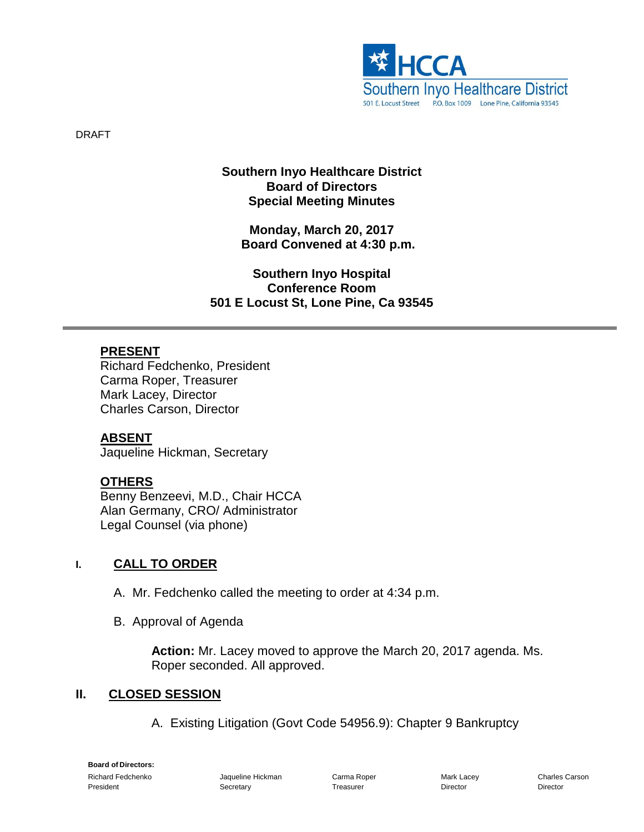

DRAFT

#### **Southern Inyo Healthcare District Board of Directors Special Meeting Minutes**

**Monday, March 20, 2017 Board Convened at 4:30 p.m.**

**Southern Inyo Hospital Conference Room 501 E Locust St, Lone Pine, Ca 93545**

#### **PRESENT**

Richard Fedchenko, President Carma Roper, Treasurer Mark Lacey, Director Charles Carson, Director

#### **ABSENT**

Jaqueline Hickman, Secretary

#### **OTHERS**

Benny Benzeevi, M.D., Chair HCCA Alan Germany, CRO/ Administrator Legal Counsel (via phone)

#### **I. CALL TO ORDER**

- A. Mr. Fedchenko called the meeting to order at 4:34 p.m.
- B. Approval of Agenda

**Action:** Mr. Lacey moved to approve the March 20, 2017 agenda. Ms. Roper seconded. All approved.

#### **II. CLOSED SESSION**

A. Existing Litigation (Govt Code 54956.9): Chapter 9 Bankruptcy

**Board of Directors:** Richard Fedchenko Jaqueline Hickman Carma Roper Mark Lacey Charles Carson President **Secretary Community Community Secretary** Treasurer **Community Director** Director Director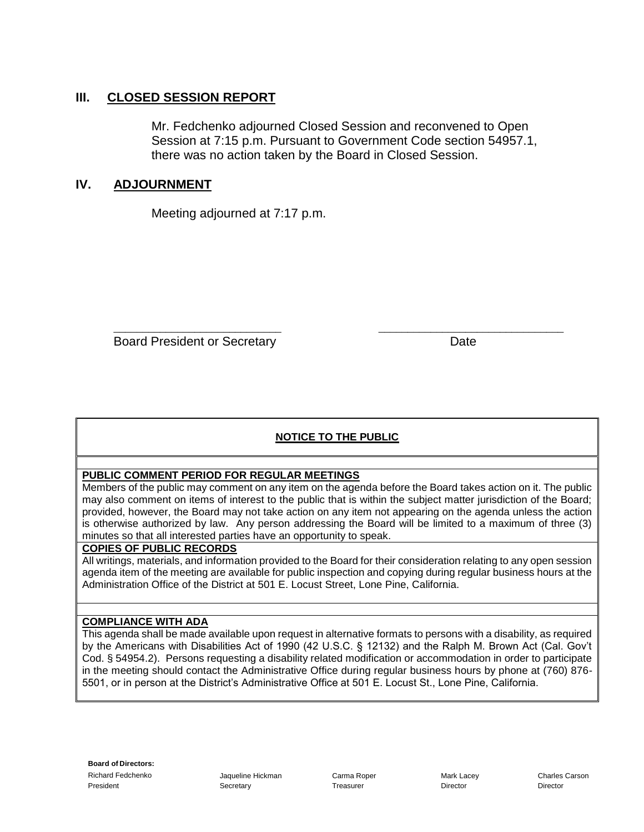#### **III. CLOSED SESSION REPORT**

Mr. Fedchenko adjourned Closed Session and reconvened to Open Session at 7:15 p.m. Pursuant to Government Code section 54957.1, there was no action taken by the Board in Closed Session.

#### **IV. ADJOURNMENT**

Meeting adjourned at 7:17 p.m.

\_\_\_\_\_\_\_\_\_\_\_\_\_\_\_\_\_\_\_\_\_\_\_\_\_\_\_\_\_ \_\_\_\_\_\_\_\_\_\_\_\_\_\_\_\_\_\_\_\_\_\_\_\_\_\_\_\_\_\_\_\_ Board President or Secretary **Date** 

#### **NOTICE TO THE PUBLIC**

#### **PUBLIC COMMENT PERIOD FOR REGULAR MEETINGS**

Members of the public may comment on any item on the agenda before the Board takes action on it. The public may also comment on items of interest to the public that is within the subject matter jurisdiction of the Board; provided, however, the Board may not take action on any item not appearing on the agenda unless the action is otherwise authorized by law. Any person addressing the Board will be limited to a maximum of three (3) minutes so that all interested parties have an opportunity to speak.

#### **COPIES OF PUBLIC RECORDS**

All writings, materials, and information provided to the Board for their consideration relating to any open session agenda item of the meeting are available for public inspection and copying during regular business hours at the Administration Office of the District at 501 E. Locust Street, Lone Pine, California.

#### **COMPLIANCE WITH ADA**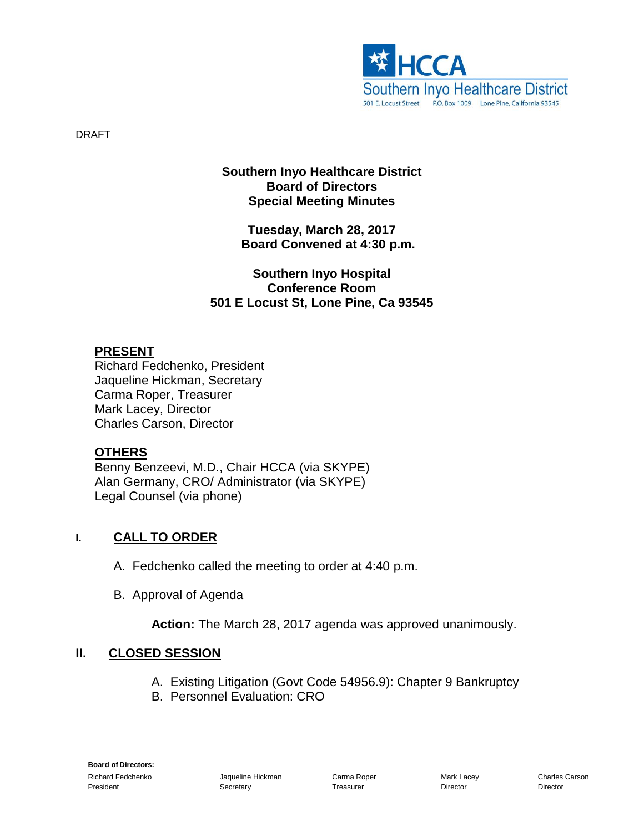

DRAFT

#### **Southern Inyo Healthcare District Board of Directors Special Meeting Minutes**

**Tuesday, March 28, 2017 Board Convened at 4:30 p.m.**

**Southern Inyo Hospital Conference Room 501 E Locust St, Lone Pine, Ca 93545**

#### **PRESENT**

Richard Fedchenko, President Jaqueline Hickman, Secretary Carma Roper, Treasurer Mark Lacey, Director Charles Carson, Director

#### **OTHERS**

Benny Benzeevi, M.D., Chair HCCA (via SKYPE) Alan Germany, CRO/ Administrator (via SKYPE) Legal Counsel (via phone)

#### **I. CALL TO ORDER**

- A. Fedchenko called the meeting to order at 4:40 p.m.
- B. Approval of Agenda

**Action:** The March 28, 2017 agenda was approved unanimously.

#### **II. CLOSED SESSION**

- A. Existing Litigation (Govt Code 54956.9): Chapter 9 Bankruptcy
- B. Personnel Evaluation: CRO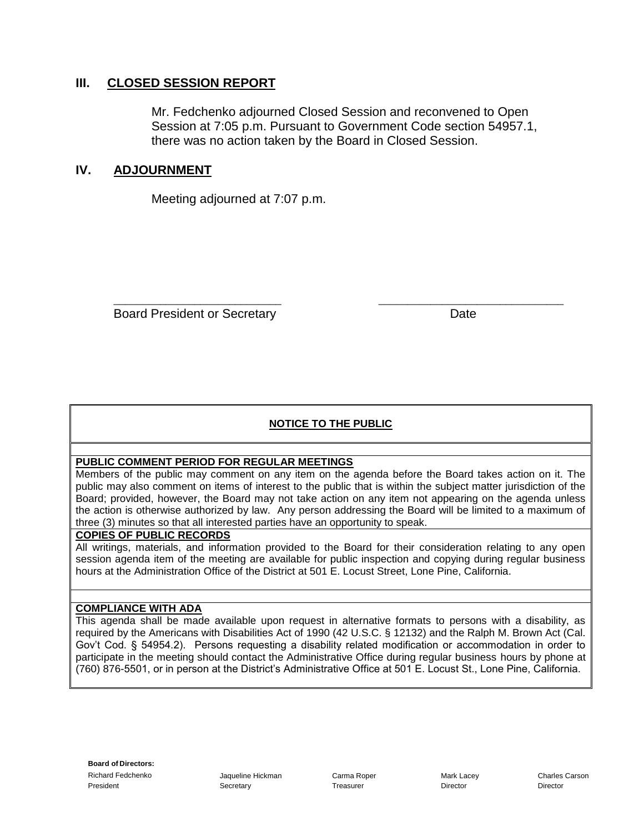#### **III. CLOSED SESSION REPORT**

Mr. Fedchenko adjourned Closed Session and reconvened to Open Session at 7:05 p.m. Pursuant to Government Code section 54957.1, there was no action taken by the Board in Closed Session.

#### **IV. ADJOURNMENT**

Meeting adjourned at 7:07 p.m.

Board President or Secretary Date Date

#### **NOTICE TO THE PUBLIC**

\_\_\_\_\_\_\_\_\_\_\_\_\_\_\_\_\_\_\_\_\_\_\_\_\_\_\_\_\_ \_\_\_\_\_\_\_\_\_\_\_\_\_\_\_\_\_\_\_\_\_\_\_\_\_\_\_\_\_\_\_\_

#### **PUBLIC COMMENT PERIOD FOR REGULAR MEETINGS**

Members of the public may comment on any item on the agenda before the Board takes action on it. The public may also comment on items of interest to the public that is within the subject matter jurisdiction of the Board; provided, however, the Board may not take action on any item not appearing on the agenda unless the action is otherwise authorized by law. Any person addressing the Board will be limited to a maximum of three (3) minutes so that all interested parties have an opportunity to speak.

#### **COPIES OF PUBLIC RECORDS**

All writings, materials, and information provided to the Board for their consideration relating to any open session agenda item of the meeting are available for public inspection and copying during regular business hours at the Administration Office of the District at 501 E. Locust Street, Lone Pine, California.

#### **COMPLIANCE WITH ADA**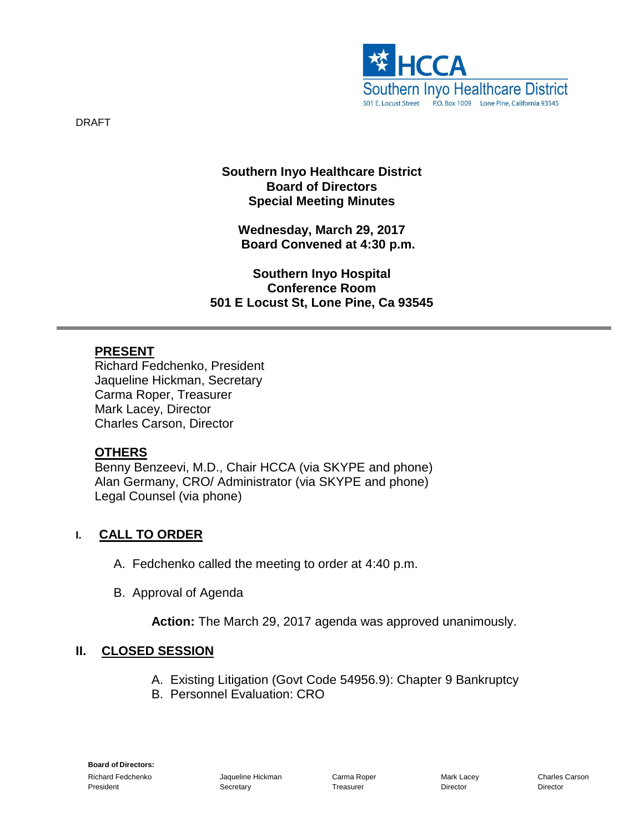

#### **Southern Inyo Healthcare District Board of Directors Special Meeting Minutes**

**Wednesday, March 29, 2017 Board Convened at 4:30 p.m.**

**Southern Inyo Hospital Conference Room 501 E Locust St, Lone Pine, Ca 93545**

#### **PRESENT**

Richard Fedchenko, President Jaqueline Hickman, Secretary Carma Roper, Treasurer Mark Lacey, Director Charles Carson, Director

#### **OTHERS**

Benny Benzeevi, M.D., Chair HCCA (via SKYPE and phone) Alan Germany, CRO/ Administrator (via SKYPE and phone) Legal Counsel (via phone)

#### **I. CALL TO ORDER**

- A. Fedchenko called the meeting to order at 4:40 p.m.
- B. Approval of Agenda

**Action:** The March 29, 2017 agenda was approved unanimously.

#### **II. CLOSED SESSION**

- A. Existing Litigation (Govt Code 54956.9): Chapter 9 Bankruptcy
- B. Personnel Evaluation: CRO

DRAFT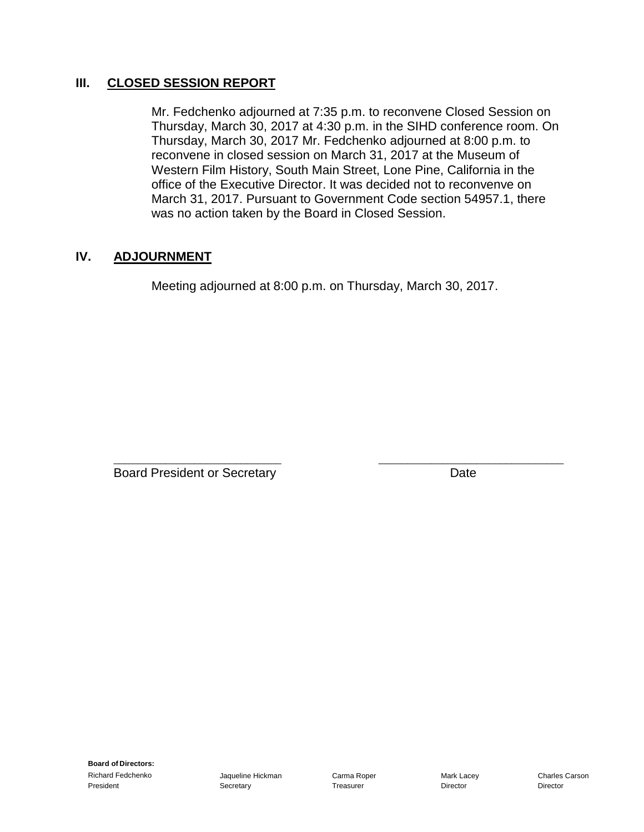#### **III. CLOSED SESSION REPORT**

Mr. Fedchenko adjourned at 7:35 p.m. to reconvene Closed Session on Thursday, March 30, 2017 at 4:30 p.m. in the SIHD conference room. On Thursday, March 30, 2017 Mr. Fedchenko adjourned at 8:00 p.m. to reconvene in closed session on March 31, 2017 at the Museum of Western Film History, South Main Street, Lone Pine, California in the office of the Executive Director. It was decided not to reconvenve on March 31, 2017. Pursuant to Government Code section 54957.1, there was no action taken by the Board in Closed Session.

#### **IV. ADJOURNMENT**

Meeting adjourned at 8:00 p.m. on Thursday, March 30, 2017.

Board President or Secretary **Date** 

\_\_\_\_\_\_\_\_\_\_\_\_\_\_\_\_\_\_\_\_\_\_\_\_\_\_\_\_\_ \_\_\_\_\_\_\_\_\_\_\_\_\_\_\_\_\_\_\_\_\_\_\_\_\_\_\_\_\_\_\_\_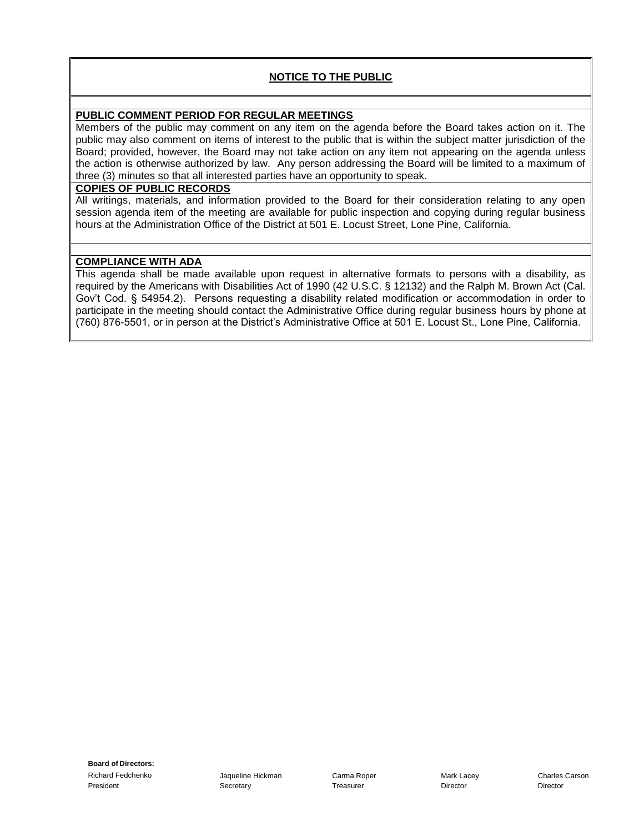#### **NOTICE TO THE PUBLIC**

#### **PUBLIC COMMENT PERIOD FOR REGULAR MEETINGS**

Members of the public may comment on any item on the agenda before the Board takes action on it. The public may also comment on items of interest to the public that is within the subject matter jurisdiction of the Board; provided, however, the Board may not take action on any item not appearing on the agenda unless the action is otherwise authorized by law. Any person addressing the Board will be limited to a maximum of three (3) minutes so that all interested parties have an opportunity to speak.

#### **COPIES OF PUBLIC RECORDS**

All writings, materials, and information provided to the Board for their consideration relating to any open session agenda item of the meeting are available for public inspection and copying during regular business hours at the Administration Office of the District at 501 E. Locust Street, Lone Pine, California.

#### **COMPLIANCE WITH ADA**